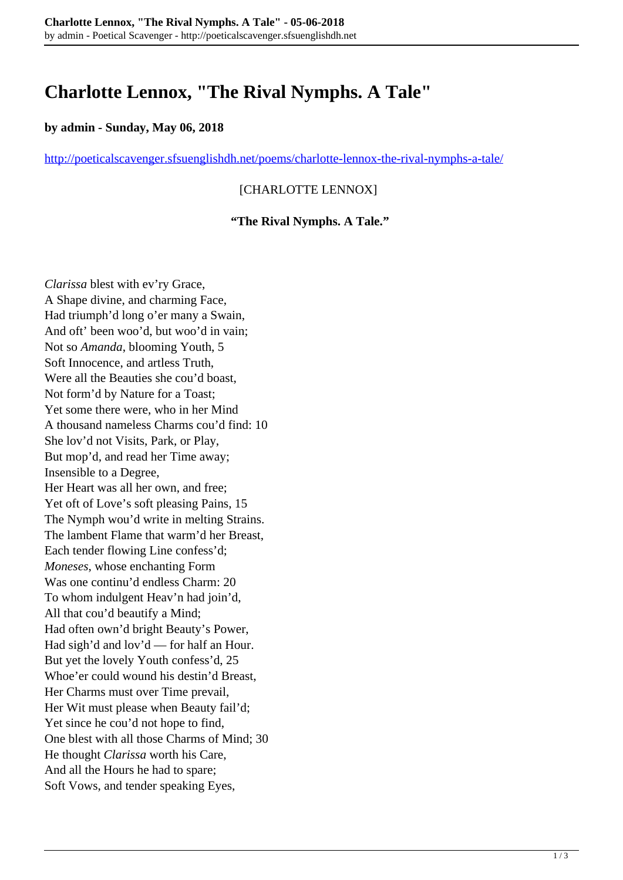# **Charlotte Lennox, "The Rival Nymphs. A Tale"**

#### **by admin - Sunday, May 06, 2018**

<http://poeticalscavenger.sfsuenglishdh.net/poems/charlotte-lennox-the-rival-nymphs-a-tale/>

### [CHARLOTTE LENNOX]

#### **"The Rival Nymphs. A Tale."**

*Clarissa* blest with ev'ry Grace, A Shape divine, and charming Face, Had triumph'd long o'er many a Swain, And oft' been woo'd, but woo'd in vain; Not so *Amanda*, blooming Youth, 5 Soft Innocence, and artless Truth, Were all the Beauties she cou'd boast, Not form'd by Nature for a Toast; Yet some there were, who in her Mind A thousand nameless Charms cou'd find: 10 She lov'd not Visits, Park, or Play, But mop'd, and read her Time away; Insensible to a Degree, Her Heart was all her own, and free; Yet oft of Love's soft pleasing Pains, 15 The Nymph wou'd write in melting Strains. The lambent Flame that warm'd her Breast, Each tender flowing Line confess'd; *Moneses*, whose enchanting Form Was one continu'd endless Charm: 20 To whom indulgent Heav'n had join'd, All that cou'd beautify a Mind; Had often own'd bright Beauty's Power, Had sigh'd and lov'd — for half an Hour. But yet the lovely Youth confess'd, 25 Whoe'er could wound his destin'd Breast, Her Charms must over Time prevail, Her Wit must please when Beauty fail'd; Yet since he cou'd not hope to find, One blest with all those Charms of Mind; 30 He thought *Clarissa* worth his Care, And all the Hours he had to spare; Soft Vows, and tender speaking Eyes,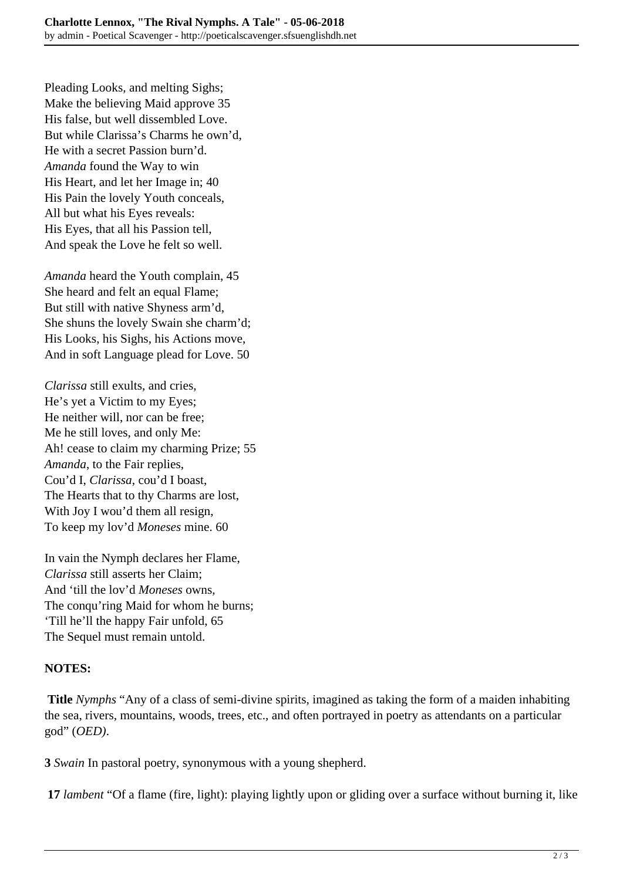Pleading Looks, and melting Sighs; Make the believing Maid approve 35 His false, but well dissembled Love. But while Clarissa's Charms he own'd, He with a secret Passion burn'd. *Amanda* found the Way to win His Heart, and let her Image in; 40 His Pain the lovely Youth conceals, All but what his Eyes reveals: His Eyes, that all his Passion tell, And speak the Love he felt so well.

*Amanda* heard the Youth complain, 45 She heard and felt an equal Flame; But still with native Shyness arm'd, She shuns the lovely Swain she charm'd; His Looks, his Sighs, his Actions move, And in soft Language plead for Love. 50

*Clarissa* still exults, and cries, He's yet a Victim to my Eyes; He neither will, nor can be free; Me he still loves, and only Me: Ah! cease to claim my charming Prize; 55 *Amanda*, to the Fair replies, Cou'd I, *Clarissa*, cou'd I boast, The Hearts that to thy Charms are lost, With Joy I wou'd them all resign, To keep my lov'd *Moneses* mine. 60

In vain the Nymph declares her Flame, *Clarissa* still asserts her Claim; And 'till the lov'd *Moneses* owns, The conqu'ring Maid for whom he burns; 'Till he'll the happy Fair unfold, 65 The Sequel must remain untold.

# **NOTES:**

**Title** *Nymphs* "Any of a class of semi-divine spirits, imagined as taking the form of a maiden inhabiting the sea, rivers, mountains, woods, trees, etc., and often portrayed in poetry as attendants on a particular god" (*OED)*.

**3** *Swain* In pastoral poetry, synonymous with a young shepherd.

**17** *lambent* "Of a flame (fire, light): playing lightly upon or gliding over a surface without burning it, like